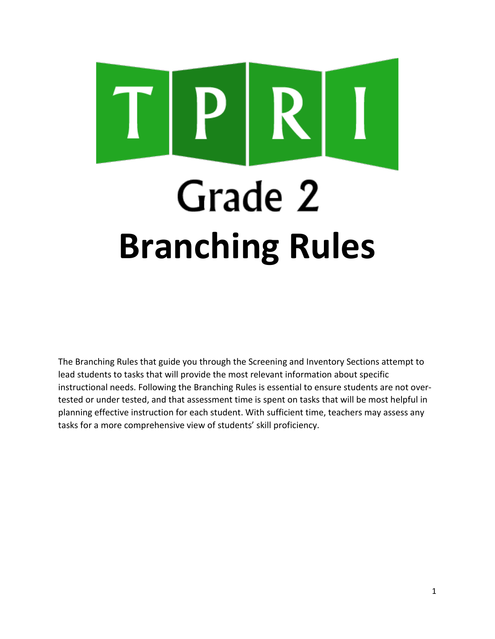# Grade 2 **Branching Rules**

The Branching Rules that guide you through the Screening and Inventory Sections attempt to lead students to tasks that will provide the most relevant information about specific instructional needs. Following the Branching Rules is essential to ensure students are not overtested or under tested, and that assessment time is spent on tasks that will be most helpful in planning effective instruction for each student. With sufficient time, teachers may assess any tasks for a more comprehensive view of students' skill proficiency.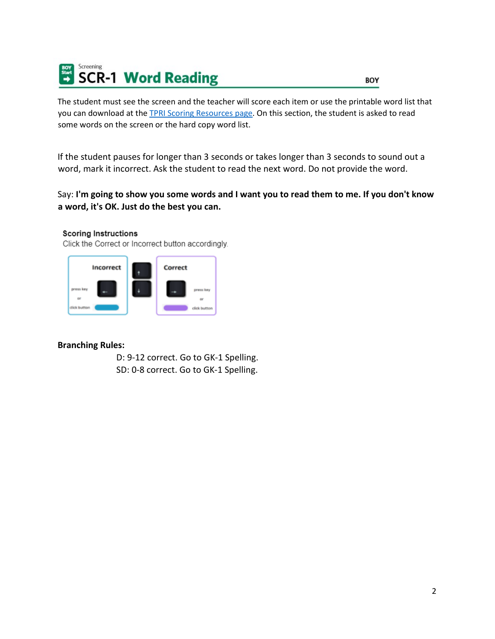

The student must see the screen and the teacher will score each item or use the printable word list that you can download at the **TPRI Scoring Resources page**. On this section, the student is asked to read some words on the screen or the hard copy word list.

If the student pauses for longer than 3 seconds or takes longer than 3 seconds to sound out a word, mark it incorrect. Ask the student to read the next word. Do not provide the word.

Say: **I'm going to show you some words and I want you to read them to me. If you don't know a word, it's OK. Just do the best you can.**

## **Scoring Instructions**

Click the Correct or Incorrect button accordingly.



## **Branching Rules:**

D: 9-12 correct. Go to GK-1 Spelling. SD: 0-8 correct. Go to GK-1 Spelling.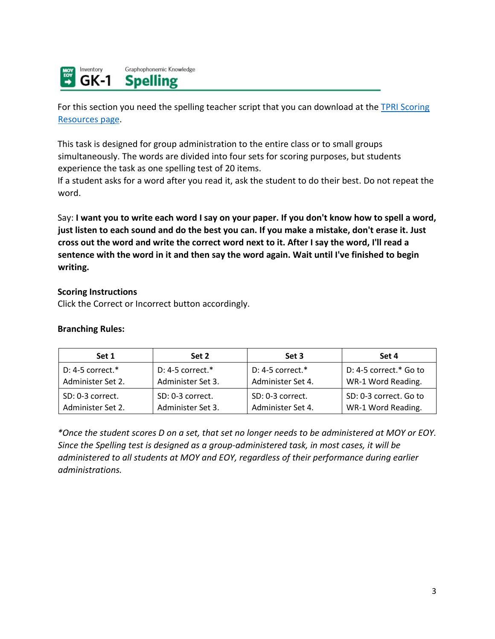Inventory Graphophonemic Knowledge  $GK-1$ **Spelling** 

For this section you need the spelling teacher script that you can download at the TPRI Scoring [Resources page.](https://public.cliengage.org/training/support/how-to-guides/tpri-scoring-resources/)

This task is designed for group administration to the entire class or to small groups simultaneously. The words are divided into four sets for scoring purposes, but students experience the task as one spelling test of 20 items.

If a student asks for a word after you read it, ask the student to do their best. Do not repeat the word.

Say: **I want you to write each word I say on your paper. If you don't know how to spell a word, just listen to each sound and do the best you can. If you make a mistake, don't erase it. Just cross out the word and write the correct word next to it. After I say the word, I'll read a sentence with the word in it and then say the word again. Wait until I've finished to begin writing.**

## **Scoring Instructions**

Click the Correct or Incorrect button accordingly.

## **Branching Rules:**

| Set 1               | Set 2               | Set 3               | Set 4                    |
|---------------------|---------------------|---------------------|--------------------------|
| D: 4-5 correct. $*$ | D: 4-5 correct. $*$ | D: 4-5 correct. $*$ | $D: 4-5$ correct.* Go to |
| Administer Set 2.   | Administer Set 3.   | Administer Set 4.   | WR-1 Word Reading.       |
| SD: 0-3 correct.    | SD: 0-3 correct.    | SD: 0-3 correct.    | SD: 0-3 correct. Go to   |
| Administer Set 2.   | Administer Set 3.   | Administer Set 4.   | WR-1 Word Reading.       |

*\*Once the student scores D on a set, that set no longer needs to be administered at MOY or EOY. Since the Spelling test is designed as a group-administered task, in most cases, it will be administered to all students at MOY and EOY, regardless of their performance during earlier administrations.*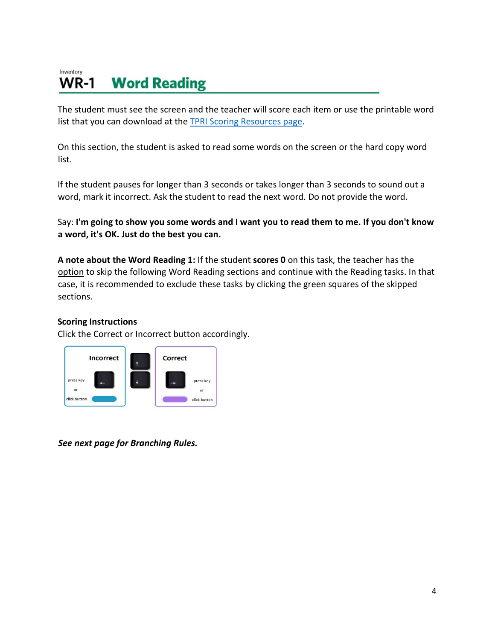#### Inventory **Word Reading WR-1**

The student must see the screen and the teacher will score each item or use the printable word list that you can download at the [TPRI Scoring Resources page.](https://public.cliengage.org/training/support/how-to-guides/tpri-scoring-resources/)

On this section, the student is asked to read some words on the screen or the hard copy word list.

If the student pauses for longer than 3 seconds or takes longer than 3 seconds to sound out a word, mark it incorrect. Ask the student to read the next word. Do not provide the word.

Say: **I'm going to show you some words and I want you to read them to me. If you don't know a word, it's OK. Just do the best you can.**

**A note about the Word Reading 1:** If the student **scores 0** on this task, the teacher has the option to skip the following Word Reading sections and continue with the Reading tasks. In that case, it is recommended to exclude these tasks by clicking the green squares of the skipped sections.

# **Scoring Instructions**

Click the Correct or Incorrect button accordingly.



*See next page for Branching Rules.*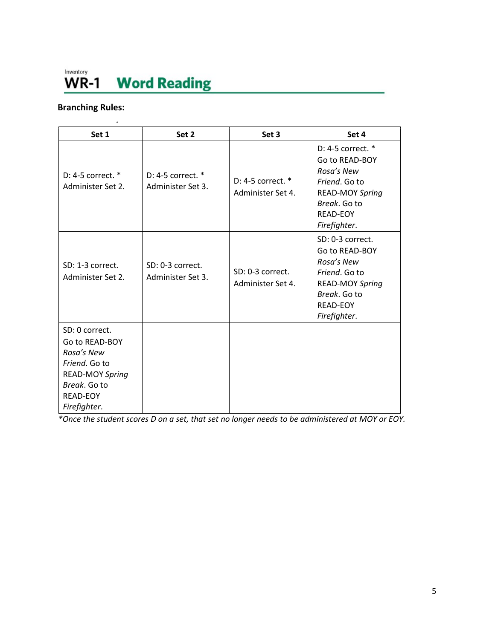# Inventory **WR-1** Word Reading

# **Branching Rules:**

| Set 1                                                                                                                                        | Set 2                                  | Set 3                                      | Set 4                                                                                                                                           |
|----------------------------------------------------------------------------------------------------------------------------------------------|----------------------------------------|--------------------------------------------|-------------------------------------------------------------------------------------------------------------------------------------------------|
| D: 4-5 correct. $*$<br>Administer Set 2.                                                                                                     | D: 4-5 correct. *<br>Administer Set 3. | $D: 4-5$ correct. $*$<br>Administer Set 4. | D: 4-5 correct. *<br>Go to READ-BOY<br>Rosa's New<br>Friend. Go to<br><b>READ-MOY Spring</b><br>Break, Go to<br><b>READ-EOY</b><br>Firefighter. |
| SD: 1-3 correct.<br>Administer Set 2.                                                                                                        | SD: 0-3 correct.<br>Administer Set 3.  | SD: 0-3 correct.<br>Administer Set 4.      | SD: 0-3 correct.<br>Go to READ-BOY<br>Rosa's New<br>Friend. Go to<br><b>READ-MOY Spring</b><br>Break. Go to<br><b>READ-EOY</b><br>Firefighter.  |
| SD: 0 correct.<br>Go to READ-BOY<br>Rosa's New<br>Friend. Go to<br><b>READ-MOY Spring</b><br>Break. Go to<br><b>READ-EOY</b><br>Firefighter. |                                        |                                            |                                                                                                                                                 |

*\*Once the student scores D on a set, that set no longer needs to be administered at MOY or EOY.*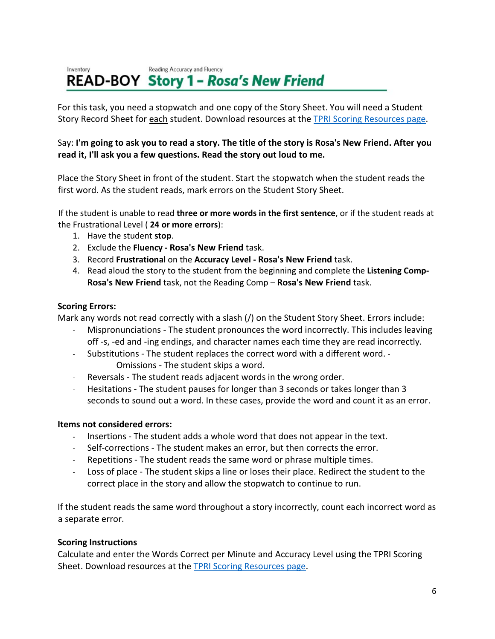#### Reading Accuracy and Fluency Inventory **READ-BOY Story 1 - Rosa's New Friend**

For this task, you need a stopwatch and one copy of the Story Sheet. You will need a Student Story Record Sheet for each student. Download resources at th[e TPRI Scoring Resources page.](https://public.cliengage.org/training/support/how-to-guides/tpri-scoring-resources/)

# Say: **I'm going to ask you to read a story. The title of the story is Rosa's New Friend. After you read it, I'll ask you a few questions. Read the story out loud to me.**

Place the Story Sheet in front of the student. Start the stopwatch when the student reads the first word. As the student reads, mark errors on the Student Story Sheet.

If the student is unable to read **three or more words in the first sentence**, or if the student reads at the Frustrational Level ( **24 or more errors**):

- 1. Have the student **stop**.
- 2. Exclude the **Fluency Rosa's New Friend** task.
- 3. Record **Frustrational** on the **Accuracy Level Rosa's New Friend** task.
- 4. Read aloud the story to the student from the beginning and complete the **Listening Comp-Rosa's New Friend** task, not the Reading Comp – **Rosa's New Friend** task.

## **Scoring Errors:**

Mark any words not read correctly with a slash (/) on the Student Story Sheet. Errors include:

- Mispronunciations The student pronounces the word incorrectly. This includes leaving off -s, -ed and -ing endings, and character names each time they are read incorrectly.
- Substitutions The student replaces the correct word with a different word. Omissions - The student skips a word.
- Reversals The student reads adjacent words in the wrong order.
- Hesitations The student pauses for longer than 3 seconds or takes longer than 3 seconds to sound out a word. In these cases, provide the word and count it as an error.

# **Items not considered errors:**

- Insertions The student adds a whole word that does not appear in the text.
- Self-corrections The student makes an error, but then corrects the error.
- Repetitions The student reads the same word or phrase multiple times.
- Loss of place The student skips a line or loses their place. Redirect the student to the correct place in the story and allow the stopwatch to continue to run.

If the student reads the same word throughout a story incorrectly, count each incorrect word as a separate error.

# **Scoring Instructions**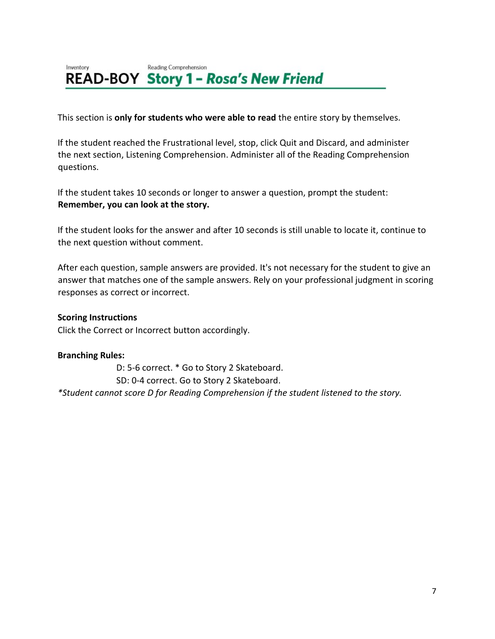#### Reading Comprehension Inventory **READ-BOY Story 1 - Rosa's New Friend**

This section is **only for students who were able to read** the entire story by themselves.

If the student reached the Frustrational level, stop, click Quit and Discard, and administer the next section, Listening Comprehension. Administer all of the Reading Comprehension questions.

If the student takes 10 seconds or longer to answer a question, prompt the student: **Remember, you can look at the story.** 

If the student looks for the answer and after 10 seconds is still unable to locate it, continue to the next question without comment.

After each question, sample answers are provided. It's not necessary for the student to give an answer that matches one of the sample answers. Rely on your professional judgment in scoring responses as correct or incorrect.

# **Scoring Instructions**

Click the Correct or Incorrect button accordingly.

## **Branching Rules:**

D: 5-6 correct. \* Go to Story 2 Skateboard. SD: 0-4 correct. Go to Story 2 Skateboard. *\*Student cannot score D for Reading Comprehension if the student listened to the story.*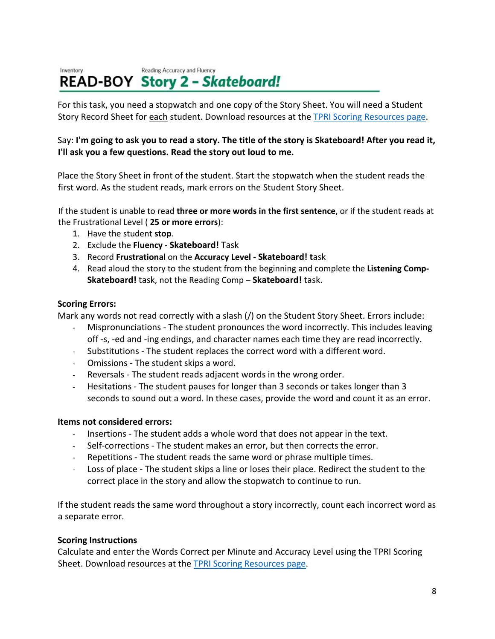#### Reading Accuracy and Fluency Inventory **READ-BOY Story 2 - Skateboard!**

For this task, you need a stopwatch and one copy of the Story Sheet. You will need a Student Story Record Sheet for each student. Download resources at th[e TPRI Scoring Resources page.](https://public.cliengage.org/training/support/how-to-guides/tpri-scoring-resources/)

# Say: **I'm going to ask you to read a story. The title of the story is Skateboard! After you read it, I'll ask you a few questions. Read the story out loud to me.**

Place the Story Sheet in front of the student. Start the stopwatch when the student reads the first word. As the student reads, mark errors on the Student Story Sheet.

If the student is unable to read **three or more words in the first sentence**, or if the student reads at the Frustrational Level ( **25 or more errors**):

- 1. Have the student **stop**.
- 2. Exclude the **Fluency Skateboard!** Task
- 3. Record **Frustrational** on the **Accuracy Level Skateboard! t**ask
- 4. Read aloud the story to the student from the beginning and complete the **Listening Comp-Skateboard!** task, not the Reading Comp – **Skateboard!** task.

## **Scoring Errors:**

Mark any words not read correctly with a slash (/) on the Student Story Sheet. Errors include:

- Mispronunciations The student pronounces the word incorrectly. This includes leaving off -s, -ed and -ing endings, and character names each time they are read incorrectly.
- Substitutions The student replaces the correct word with a different word.
- Omissions The student skips a word.
- Reversals The student reads adjacent words in the wrong order.
- Hesitations The student pauses for longer than 3 seconds or takes longer than 3 seconds to sound out a word. In these cases, provide the word and count it as an error.

## **Items not considered errors:**

- Insertions The student adds a whole word that does not appear in the text.
- Self-corrections The student makes an error, but then corrects the error.
- Repetitions The student reads the same word or phrase multiple times.
- Loss of place The student skips a line or loses their place. Redirect the student to the correct place in the story and allow the stopwatch to continue to run.

If the student reads the same word throughout a story incorrectly, count each incorrect word as a separate error.

## **Scoring Instructions**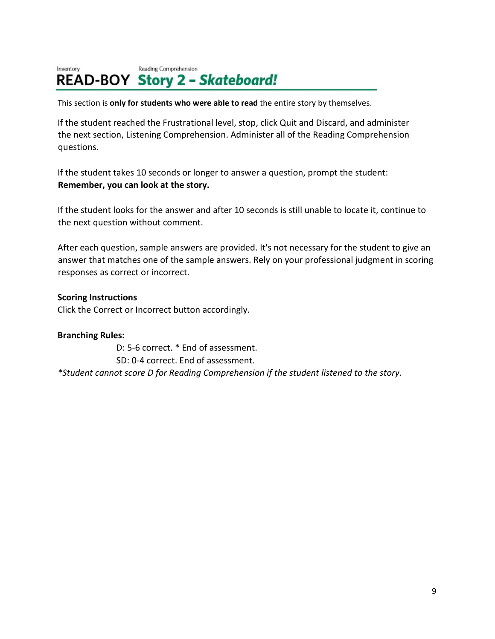#### Reading Comprehension Inventory **READ-BOY Story 2 - Skateboard!**

This section is **only for students who were able to read** the entire story by themselves.

If the student reached the Frustrational level, stop, click Quit and Discard, and administer the next section, Listening Comprehension. Administer all of the Reading Comprehension questions.

If the student takes 10 seconds or longer to answer a question, prompt the student: **Remember, you can look at the story.**

If the student looks for the answer and after 10 seconds is still unable to locate it, continue to the next question without comment.

After each question, sample answers are provided. It's not necessary for the student to give an answer that matches one of the sample answers. Rely on your professional judgment in scoring responses as correct or incorrect.

# **Scoring Instructions**

Click the Correct or Incorrect button accordingly.

# **Branching Rules:**

D: 5-6 correct. \* End of assessment. SD: 0-4 correct. End of assessment. *\*Student cannot score D for Reading Comprehension if the student listened to the story.*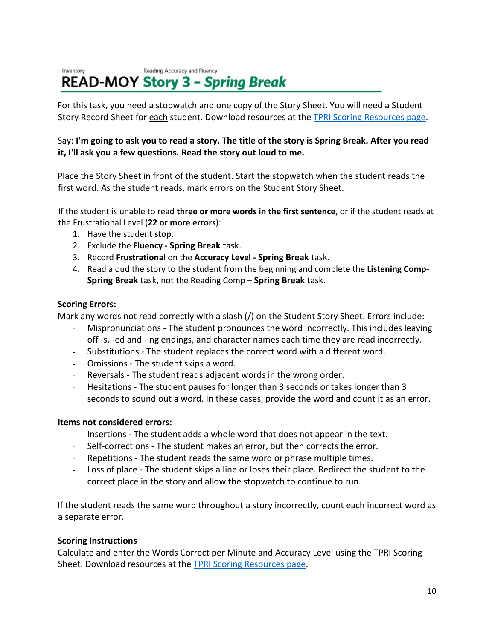#### Reading Accuracy and Fluency Inventory **READ-MOY Story 3 - Spring Break**

For this task, you need a stopwatch and one copy of the Story Sheet. You will need a Student Story Record Sheet for each student. Download resources at th[e TPRI Scoring Resources page.](https://public.cliengage.org/training/support/how-to-guides/tpri-scoring-resources/)

# Say: **I'm going to ask you to read a story. The title of the story is Spring Break. After you read it, I'll ask you a few questions. Read the story out loud to me.**

Place the Story Sheet in front of the student. Start the stopwatch when the student reads the first word. As the student reads, mark errors on the Student Story Sheet.

If the student is unable to read **three or more words in the first sentence**, or if the student reads at the Frustrational Level (**22 or more errors**):

- 1. Have the student **stop**.
- 2. Exclude the **Fluency Spring Break** task.
- 3. Record **Frustrational** on the **Accuracy Level Spring Break** task.
- 4. Read aloud the story to the student from the beginning and complete the **Listening Comp-Spring Break** task, not the Reading Comp – **Spring Break** task.

## **Scoring Errors:**

Mark any words not read correctly with a slash (/) on the Student Story Sheet. Errors include:

- Mispronunciations The student pronounces the word incorrectly. This includes leaving off -s, -ed and -ing endings, and character names each time they are read incorrectly.
- Substitutions The student replaces the correct word with a different word.
- Omissions The student skips a word.
- Reversals The student reads adjacent words in the wrong order.
- Hesitations The student pauses for longer than 3 seconds or takes longer than 3 seconds to sound out a word. In these cases, provide the word and count it as an error.

## **Items not considered errors:**

- Insertions The student adds a whole word that does not appear in the text.
- Self-corrections The student makes an error, but then corrects the error.
- Repetitions The student reads the same word or phrase multiple times.
- Loss of place The student skips a line or loses their place. Redirect the student to the correct place in the story and allow the stopwatch to continue to run.

If the student reads the same word throughout a story incorrectly, count each incorrect word as a separate error.

## **Scoring Instructions**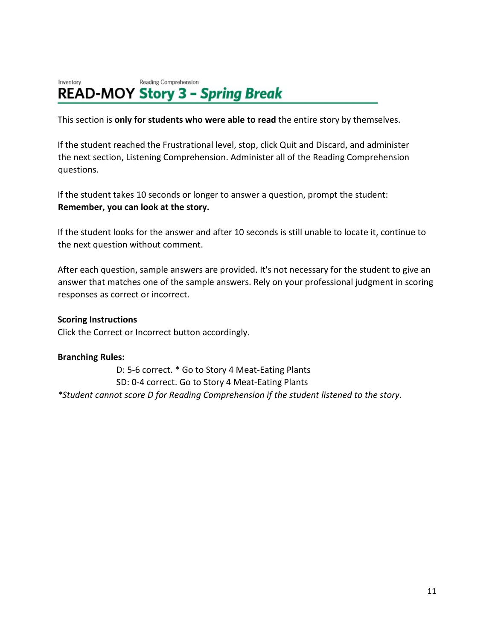#### Inventory Reading Comprehension **READ-MOY Story 3 - Spring Break**

This section is **only for students who were able to read** the entire story by themselves.

If the student reached the Frustrational level, stop, click Quit and Discard, and administer the next section, Listening Comprehension. Administer all of the Reading Comprehension questions.

If the student takes 10 seconds or longer to answer a question, prompt the student: **Remember, you can look at the story.** 

If the student looks for the answer and after 10 seconds is still unable to locate it, continue to the next question without comment.

After each question, sample answers are provided. It's not necessary for the student to give an answer that matches one of the sample answers. Rely on your professional judgment in scoring responses as correct or incorrect.

## **Scoring Instructions**

Click the Correct or Incorrect button accordingly.

## **Branching Rules:**

D: 5-6 correct. \* Go to Story 4 Meat-Eating Plants SD: 0-4 correct. Go to Story 4 Meat-Eating Plants *\*Student cannot score D for Reading Comprehension if the student listened to the story.*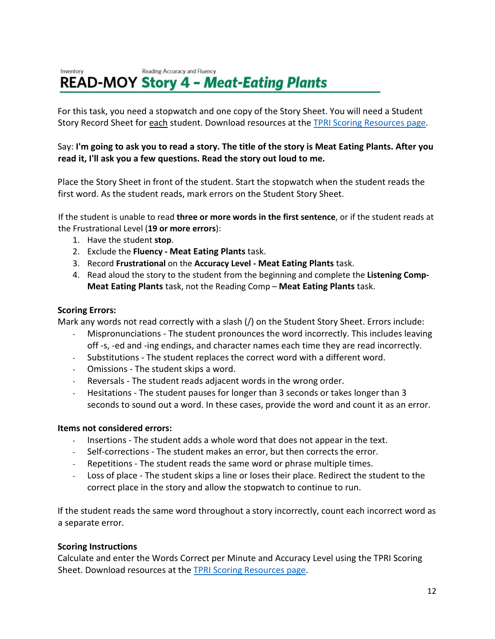#### Reading Accuracy and Fluency Inventory **READ-MOY Story 4 - Meat-Eating Plants**

For this task, you need a stopwatch and one copy of the Story Sheet. You will need a Student Story Record Sheet for each student. Download resources at th[e TPRI Scoring Resources page.](https://public.cliengage.org/training/support/how-to-guides/tpri-scoring-resources/)

# Say: **I'm going to ask you to read a story. The title of the story is Meat Eating Plants. After you read it, I'll ask you a few questions. Read the story out loud to me.**

Place the Story Sheet in front of the student. Start the stopwatch when the student reads the first word. As the student reads, mark errors on the Student Story Sheet.

If the student is unable to read **three or more words in the first sentence**, or if the student reads at the Frustrational Level (**19 or more errors**):

- 1. Have the student **stop**.
- 2. Exclude the **Fluency Meat Eating Plants** task.
- 3. Record **Frustrational** on the **Accuracy Level Meat Eating Plants** task.
- 4. Read aloud the story to the student from the beginning and complete the **Listening Comp-Meat Eating Plants** task, not the Reading Comp – **Meat Eating Plants** task.

## **Scoring Errors:**

Mark any words not read correctly with a slash (/) on the Student Story Sheet. Errors include:

- Mispronunciations The student pronounces the word incorrectly. This includes leaving off -s, -ed and -ing endings, and character names each time they are read incorrectly.
- Substitutions The student replaces the correct word with a different word.
- Omissions The student skips a word.
- Reversals The student reads adjacent words in the wrong order.
- Hesitations The student pauses for longer than 3 seconds or takes longer than 3 seconds to sound out a word. In these cases, provide the word and count it as an error.

## **Items not considered errors:**

- Insertions The student adds a whole word that does not appear in the text.
- Self-corrections The student makes an error, but then corrects the error.
- Repetitions The student reads the same word or phrase multiple times.
- Loss of place The student skips a line or loses their place. Redirect the student to the correct place in the story and allow the stopwatch to continue to run.

If the student reads the same word throughout a story incorrectly, count each incorrect word as a separate error.

## **Scoring Instructions**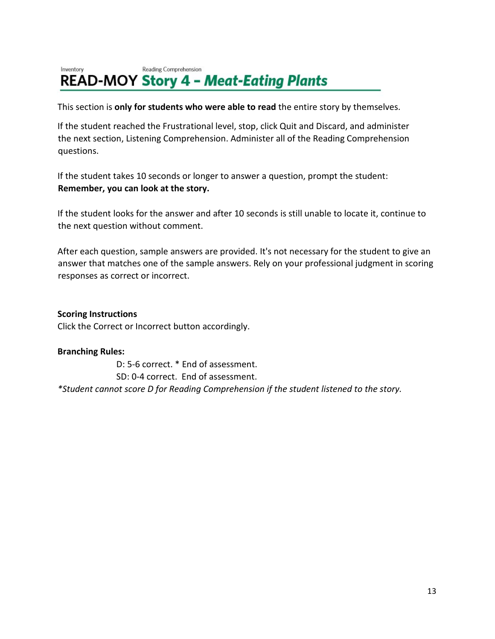#### Reading Comprehension Inventory **READ-MOY Story 4 - Meat-Eating Plants**

This section is **only for students who were able to read** the entire story by themselves.

If the student reached the Frustrational level, stop, click Quit and Discard, and administer the next section, Listening Comprehension. Administer all of the Reading Comprehension questions.

If the student takes 10 seconds or longer to answer a question, prompt the student: **Remember, you can look at the story.**

If the student looks for the answer and after 10 seconds is still unable to locate it, continue to the next question without comment.

After each question, sample answers are provided. It's not necessary for the student to give an answer that matches one of the sample answers. Rely on your professional judgment in scoring responses as correct or incorrect.

**Scoring Instructions**

Click the Correct or Incorrect button accordingly.

## **Branching Rules:**

D: 5-6 correct. \* End of assessment. SD: 0-4 correct. End of assessment. *\*Student cannot score D for Reading Comprehension if the student listened to the story.*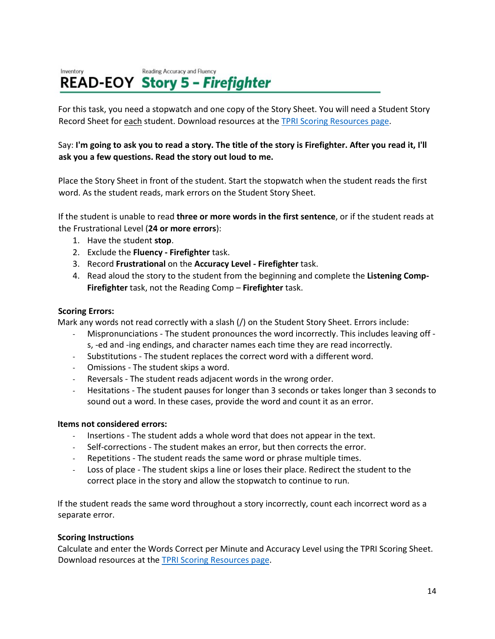#### Reading Accuracy and Fluency Inventory **READ-EOY Story 5 - Firefighter**

For this task, you need a stopwatch and one copy of the Story Sheet. You will need a Student Story Record Sheet for each student. Download resources at the [TPRI Scoring Resources page.](https://public.cliengage.org/training/support/how-to-guides/tpri-scoring-resources/)

## Say: **I'm going to ask you to read a story. The title of the story is Firefighter. After you read it, I'll ask you a few questions. Read the story out loud to me.**

Place the Story Sheet in front of the student. Start the stopwatch when the student reads the first word. As the student reads, mark errors on the Student Story Sheet.

If the student is unable to read **three or more words in the first sentence**, or if the student reads at the Frustrational Level (**24 or more errors**):

- 1. Have the student **stop**.
- 2. Exclude the **Fluency Firefighter** task.
- 3. Record **Frustrational** on the **Accuracy Level Firefighter** task.
- 4. Read aloud the story to the student from the beginning and complete the **Listening Comp-Firefighter** task, not the Reading Comp – **Firefighter** task.

## **Scoring Errors:**

Mark any words not read correctly with a slash (/) on the Student Story Sheet. Errors include:

- Mispronunciations The student pronounces the word incorrectly. This includes leaving off -
- s, -ed and -ing endings, and character names each time they are read incorrectly.
- Substitutions The student replaces the correct word with a different word.
- Omissions The student skips a word.
- Reversals The student reads adjacent words in the wrong order.
- Hesitations The student pauses for longer than 3 seconds or takes longer than 3 seconds to sound out a word. In these cases, provide the word and count it as an error.

## **Items not considered errors:**

- Insertions The student adds a whole word that does not appear in the text.
- Self-corrections The student makes an error, but then corrects the error.
- Repetitions The student reads the same word or phrase multiple times.
- Loss of place The student skips a line or loses their place. Redirect the student to the correct place in the story and allow the stopwatch to continue to run.

If the student reads the same word throughout a story incorrectly, count each incorrect word as a separate error.

## **Scoring Instructions**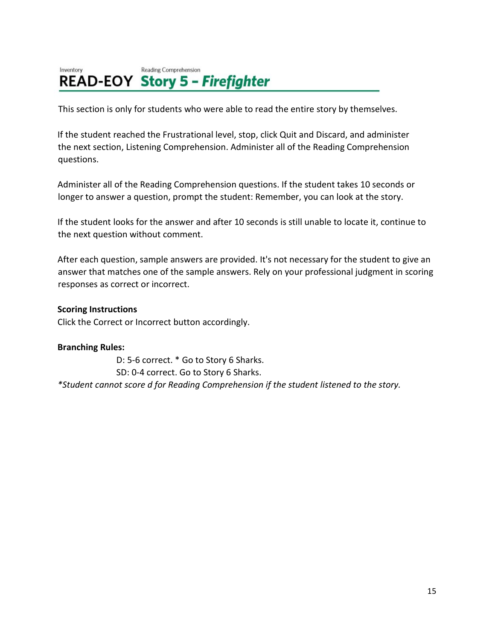#### Inventory Reading Comprehension **READ-EOY Story 5 - Firefighter**

This section is only for students who were able to read the entire story by themselves.

If the student reached the Frustrational level, stop, click Quit and Discard, and administer the next section, Listening Comprehension. Administer all of the Reading Comprehension questions.

Administer all of the Reading Comprehension questions. If the student takes 10 seconds or longer to answer a question, prompt the student: Remember, you can look at the story.

If the student looks for the answer and after 10 seconds is still unable to locate it, continue to the next question without comment.

After each question, sample answers are provided. It's not necessary for the student to give an answer that matches one of the sample answers. Rely on your professional judgment in scoring responses as correct or incorrect.

## **Scoring Instructions**

Click the Correct or Incorrect button accordingly.

## **Branching Rules:**

D: 5-6 correct. \* Go to Story 6 Sharks. SD: 0-4 correct. Go to Story 6 Sharks. *\*Student cannot score d for Reading Comprehension if the student listened to the story.*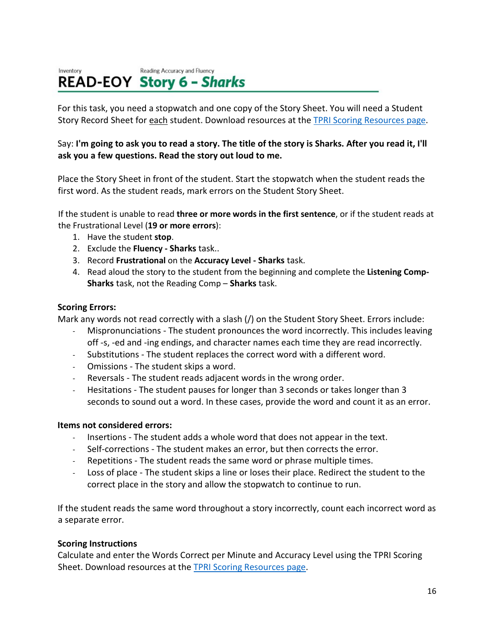#### Inventory Reading Accuracy and Fluency **READ-EOY Story 6 - Sharks**

For this task, you need a stopwatch and one copy of the Story Sheet. You will need a Student Story Record Sheet for each student. Download resources at th[e TPRI Scoring Resources page.](https://public.cliengage.org/training/support/how-to-guides/tpri-scoring-resources/)

# Say: **I'm going to ask you to read a story. The title of the story is Sharks. After you read it, I'll ask you a few questions. Read the story out loud to me.**

Place the Story Sheet in front of the student. Start the stopwatch when the student reads the first word. As the student reads, mark errors on the Student Story Sheet.

If the student is unable to read **three or more words in the first sentence**, or if the student reads at the Frustrational Level (**19 or more errors**):

- 1. Have the student **stop**.
- 2. Exclude the **Fluency Sharks** task..
- 3. Record **Frustrational** on the **Accuracy Level Sharks** task.
- 4. Read aloud the story to the student from the beginning and complete the **Listening Comp-Sharks** task, not the Reading Comp – **Sharks** task.

## **Scoring Errors:**

Mark any words not read correctly with a slash (/) on the Student Story Sheet. Errors include:

Mispronunciations - The student pronounces the word incorrectly. This includes leaving off -s, -ed and -ing endings, and character names each time they are read incorrectly.

- Substitutions The student replaces the correct word with a different word.
- Omissions The student skips a word.
- Reversals The student reads adjacent words in the wrong order.
- Hesitations The student pauses for longer than 3 seconds or takes longer than 3 seconds to sound out a word. In these cases, provide the word and count it as an error.

## **Items not considered errors:**

- Insertions The student adds a whole word that does not appear in the text.
- Self-corrections The student makes an error, but then corrects the error.
- Repetitions The student reads the same word or phrase multiple times.
- Loss of place The student skips a line or loses their place. Redirect the student to the correct place in the story and allow the stopwatch to continue to run.

If the student reads the same word throughout a story incorrectly, count each incorrect word as a separate error.

# **Scoring Instructions**